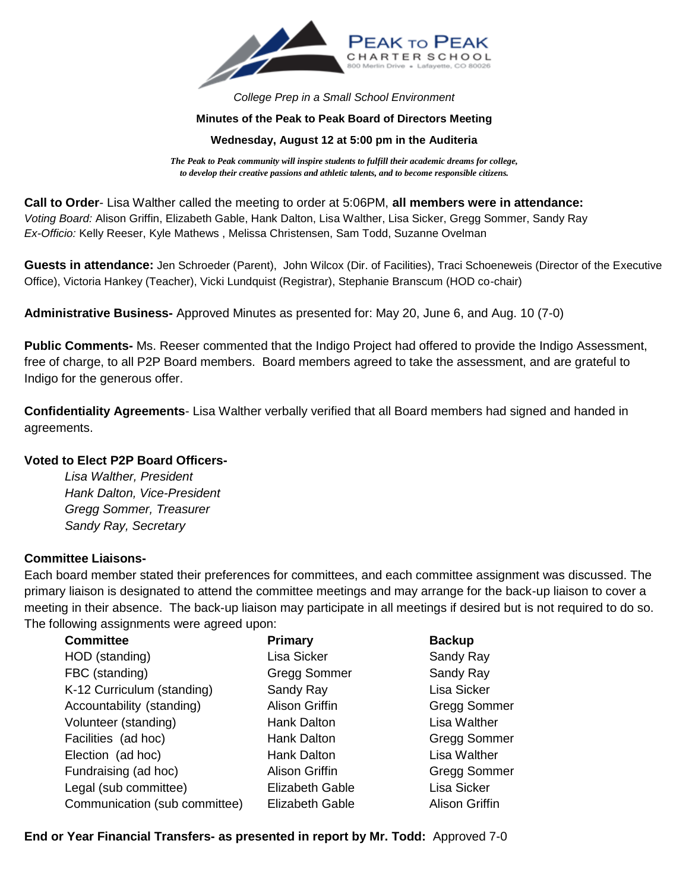

*College Prep in a Small School Environment*

## **Minutes of the Peak to Peak Board of Directors Meeting**

## **Wednesday, August 12 at 5:00 pm in the Auditeria**

*The Peak to Peak community will inspire students to fulfill their academic dreams for college, to develop their creative passions and athletic talents, and to become responsible citizens.*

**Call to Order**- Lisa Walther called the meeting to order at 5:06PM, **all members were in attendance:** *Voting Board:* Alison Griffin, Elizabeth Gable, Hank Dalton, Lisa Walther, Lisa Sicker, Gregg Sommer, Sandy Ray *Ex-Officio:* Kelly Reeser, Kyle Mathews , Melissa Christensen, Sam Todd, Suzanne Ovelman

**Guests in attendance:** Jen Schroeder (Parent), John Wilcox (Dir. of Facilities), Traci Schoeneweis (Director of the Executive Office), Victoria Hankey (Teacher), Vicki Lundquist (Registrar), Stephanie Branscum (HOD co-chair)

**Administrative Business-** Approved Minutes as presented for: May 20, June 6, and Aug. 10 (7-0)

**Public Comments-** Ms. Reeser commented that the Indigo Project had offered to provide the Indigo Assessment, free of charge, to all P2P Board members. Board members agreed to take the assessment, and are grateful to Indigo for the generous offer.

**Confidentiality Agreements**- Lisa Walther verbally verified that all Board members had signed and handed in agreements.

## **Voted to Elect P2P Board Officers-**

*Lisa Walther, President Hank Dalton, Vice-President Gregg Sommer, Treasurer Sandy Ray, Secretary*

## **Committee Liaisons-**

Each board member stated their preferences for committees, and each committee assignment was discussed. The primary liaison is designated to attend the committee meetings and may arrange for the back-up liaison to cover a meeting in their absence. The back-up liaison may participate in all meetings if desired but is not required to do so. The following assignments were agreed upon:

| <b>Committee</b>              | Primary                | <b>Backup</b>       |
|-------------------------------|------------------------|---------------------|
| HOD (standing)                | Lisa Sicker            | Sandy Ray           |
| FBC (standing)                | <b>Gregg Sommer</b>    | Sandy Ray           |
| K-12 Curriculum (standing)    | Sandy Ray              | Lisa Sicker         |
| Accountability (standing)     | <b>Alison Griffin</b>  | Gregg Sommer        |
| Volunteer (standing)          | <b>Hank Dalton</b>     | Lisa Walther        |
| Facilities (ad hoc)           | Hank Dalton            | <b>Gregg Sommer</b> |
| Election (ad hoc)             | <b>Hank Dalton</b>     | Lisa Walther        |
| Fundraising (ad hoc)          | <b>Alison Griffin</b>  | <b>Gregg Sommer</b> |
| Legal (sub committee)         | <b>Elizabeth Gable</b> | Lisa Sicker         |
| Communication (sub committee) | <b>Elizabeth Gable</b> | Alison Griffin      |

**End or Year Financial Transfers- as presented in report by Mr. Todd:** Approved 7-0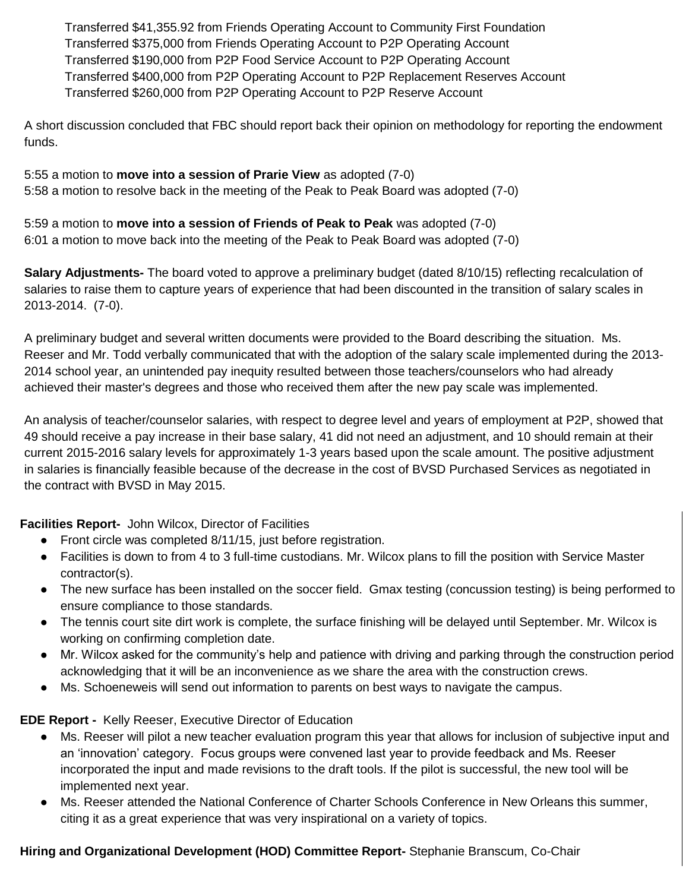Transferred \$41,355.92 from Friends Operating Account to Community First Foundation Transferred \$375,000 from Friends Operating Account to P2P Operating Account Transferred \$190,000 from P2P Food Service Account to P2P Operating Account Transferred \$400,000 from P2P Operating Account to P2P Replacement Reserves Account Transferred \$260,000 from P2P Operating Account to P2P Reserve Account

A short discussion concluded that FBC should report back their opinion on methodology for reporting the endowment funds.

5:55 a motion to **move into a session of Prarie View** as adopted (7-0) 5:58 a motion to resolve back in the meeting of the Peak to Peak Board was adopted (7-0)

5:59 a motion to **move into a session of Friends of Peak to Peak** was adopted (7-0) 6:01 a motion to move back into the meeting of the Peak to Peak Board was adopted (7-0)

**Salary Adjustments-** The board voted to approve a preliminary budget (dated 8/10/15) reflecting recalculation of salaries to raise them to capture years of experience that had been discounted in the transition of salary scales in 2013-2014. (7-0).

A preliminary budget and several written documents were provided to the Board describing the situation. Ms. Reeser and Mr. Todd verbally communicated that with the adoption of the salary scale implemented during the 2013- 2014 school year, an unintended pay inequity resulted between those teachers/counselors who had already achieved their master's degrees and those who received them after the new pay scale was implemented.

An analysis of teacher/counselor salaries, with respect to degree level and years of employment at P2P, showed that 49 should receive a pay increase in their base salary, 41 did not need an adjustment, and 10 should remain at their current 2015-2016 salary levels for approximately 1-3 years based upon the scale amount. The positive adjustment in salaries is financially feasible because of the decrease in the cost of BVSD Purchased Services as negotiated in the contract with BVSD in May 2015.

**Facilities Report-** John Wilcox, Director of Facilities

- Front circle was completed 8/11/15, just before registration.
- Facilities is down to from 4 to 3 full-time custodians. Mr. Wilcox plans to fill the position with Service Master contractor(s).
- The new surface has been installed on the soccer field. Gmax testing (concussion testing) is being performed to ensure compliance to those standards.
- The tennis court site dirt work is complete, the surface finishing will be delayed until September. Mr. Wilcox is working on confirming completion date.
- Mr. Wilcox asked for the community's help and patience with driving and parking through the construction period acknowledging that it will be an inconvenience as we share the area with the construction crews.
- Ms. Schoeneweis will send out information to parents on best ways to navigate the campus.

**EDE Report -** Kelly Reeser, Executive Director of Education

- Ms. Reeser will pilot a new teacher evaluation program this year that allows for inclusion of subjective input and an 'innovation' category. Focus groups were convened last year to provide feedback and Ms. Reeser incorporated the input and made revisions to the draft tools. If the pilot is successful, the new tool will be implemented next year.
- Ms. Reeser attended the National Conference of Charter Schools Conference in New Orleans this summer, citing it as a great experience that was very inspirational on a variety of topics.

**Hiring and Organizational Development (HOD) Committee Report-** Stephanie Branscum, Co-Chair